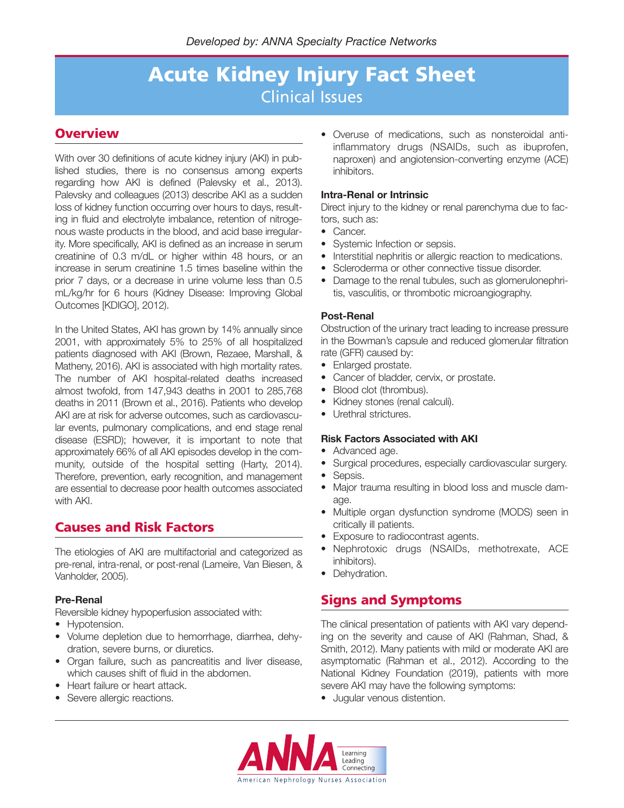### **Overview**

With over 30 definitions of acute kidney injury (AKI) in published studies, there is no consensus among experts regarding how AKI is defined (Palevsky et al., 2013). Palevsky and colleagues (2013) describe AKI as a sudden loss of kidney function occurring over hours to days, resulting in fluid and electrolyte imbalance, retention of nitrogenous waste products in the blood, and acid base irregularity. More specifically, AKI is defined as an increase in serum creatinine of 0.3 m/dL or higher within 48 hours, or an increase in serum creatinine 1.5 times baseline within the prior 7 days, or a decrease in urine volume less than 0.5 mL/kg/hr for 6 hours (Kidney Disease: Improving Global Outcomes [KDIGO], 2012).

In the United States, AKI has grown by 14% annually since 2001, with approximately 5% to 25% of all hospitalized patients diagnosed with AKI (Brown, Rezaee, Marshall, & Matheny, 2016). AKI is associated with high mortality rates. The number of AKI hospital-related deaths increased almost twofold, from 147,943 deaths in 2001 to 285,768 deaths in 2011 (Brown et al., 2016). Patients who develop AKI are at risk for adverse outcomes, such as cardiovascular events, pulmonary complications, and end stage renal disease (ESRD); however, it is important to note that approximately 66% of all AKI episodes develop in the community, outside of the hospital setting (Harty, 2014). Therefore, prevention, early recognition, and management are essential to decrease poor health outcomes associated with AKI.

### **Causes and Risk Factors**

The etiologies of AKI are multifactorial and categorized as pre-renal, intra-renal, or post-renal (Lameire, Van Biesen, & Vanholder, 2005).

### **Pre-Renal**

Reversible kidney hypoperfusion associated with:

- Hypotension.
- Volume depletion due to hemorrhage, diarrhea, dehydration, severe burns, or diuretics.
- Organ failure, such as pancreatitis and liver disease, which causes shift of fluid in the abdomen.
- Heart failure or heart attack.
- Severe allergic reactions.

• Overuse of medications, such as nonsteroidal antiinflammatory drugs (NSAIDs, such as ibuprofen, naproxen) and angiotension-converting enzyme (ACE) inhibitors.

#### **Intra-Renal or Intrinsic**

Direct injury to the kidney or renal parenchyma due to factors, such as:

- Cancer.
- Systemic Infection or sepsis.
- Interstitial nephritis or allergic reaction to medications.
- Scleroderma or other connective tissue disorder.
- Damage to the renal tubules, such as glomerulonephritis, vasculitis, or thrombotic microangiography.

#### **Post-Renal**

Obstruction of the urinary tract leading to increase pressure in the Bowman's capsule and reduced glomerular filtration rate (GFR) caused by:

- Enlarged prostate.
- Cancer of bladder, cervix, or prostate.
- Blood clot (thrombus).
- Kidney stones (renal calculi).
- Urethral strictures.

#### **Risk Factors Associated with AKI**

- Advanced age.
- Surgical procedures, especially cardiovascular surgery.
- Sepsis.
- Major trauma resulting in blood loss and muscle damage.
- Multiple organ dysfunction syndrome (MODS) seen in critically ill patients.
- Exposure to radiocontrast agents.
- Nephrotoxic drugs (NSAIDs, methotrexate, ACE inhibitors).
- Dehydration.

## **Signs and Symptoms**

The clinical presentation of patients with AKI vary depending on the severity and cause of AKI (Rahman, Shad, & Smith, 2012). Many patients with mild or moderate AKI are asymptomatic (Rahman et al., 2012). According to the National Kidney Foundation (2019), patients with more severe AKI may have the following symptoms:

• Jugular venous distention.

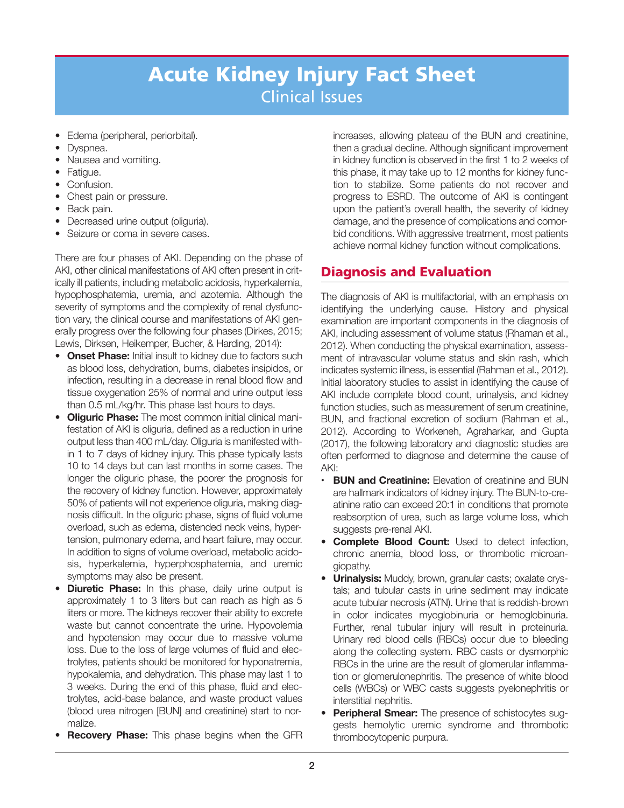- Edema (peripheral, periorbital).
- Dyspnea.
- Nausea and vomiting.
- Fatigue.
- Confusion.
- Chest pain or pressure.
- Back pain.
- Decreased urine output (oliguria).
- Seizure or coma in severe cases.

There are four phases of AKI. Depending on the phase of AKI, other clinical manifestations of AKI often present in critically ill patients, including metabolic acidosis, hyperkalemia, hypophosphatemia, uremia, and azotemia. Although the severity of symptoms and the complexity of renal dysfunction vary, the clinical course and manifestations of AKI generally progress over the following four phases (Dirkes, 2015; Lewis, Dirksen, Heikemper, Bucher, & Harding, 2014):

- • **Onset Phase:** Initial insult to kidney due to factors such as blood loss, dehydration, burns, diabetes insipidos, or infection, resulting in a decrease in renal blood flow and tissue oxygenation 25% of normal and urine output less than 0.5 mL/kg/hr. This phase last hours to days.
- **Oliguric Phase:** The most common initial clinical manifestation of AKI is oliguria, defined as a reduction in urine output less than 400 mL/day. Oliguria is manifested within 1 to 7 days of kidney injury. This phase typically lasts 10 to 14 days but can last months in some cases. The longer the oliguric phase, the poorer the prognosis for the recovery of kidney function. However, approximately 50% of patients will not experience oliguria, making diagnosis difficult. In the oliguric phase, signs of fluid volume overload, such as edema, distended neck veins, hypertension, pulmonary edema, and heart failure, may occur. In addition to signs of volume overload, metabolic acidosis, hyperkalemia, hyperphosphatemia, and uremic symptoms may also be present.
- **Diuretic Phase:** In this phase, daily urine output is approximately 1 to 3 liters but can reach as high as 5 liters or more. The kidneys recover their ability to excrete waste but cannot concentrate the urine. Hypovolemia and hypotension may occur due to massive volume loss. Due to the loss of large volumes of fluid and electrolytes, patients should be monitored for hyponatremia, hypokalemia, and dehydration. This phase may last 1 to 3 weeks. During the end of this phase, fluid and electrolytes, acid-base balance, and waste product values (blood urea nitrogen [BUN] and creatinine) start to normalize.
- **Recovery Phase:** This phase begins when the GFR

increases, allowing plateau of the BUN and creatinine, then a gradual decline. Although significant improvement in kidney function is observed in the first 1 to 2 weeks of this phase, it may take up to 12 months for kidney function to stabilize. Some patients do not recover and progress to ESRD. The outcome of AKI is contingent upon the patient's overall health, the severity of kidney damage, and the presence of complications and comorbid conditions. With aggressive treatment, most patients achieve normal kidney function without complications.

### **Diagnosis and Evaluation**

The diagnosis of AKI is multifactorial, with an emphasis on identifying the underlying cause. History and physical examination are important components in the diagnosis of AKI, including assessment of volume status (Rhaman et al., 2012). When conducting the physical examination, assessment of intravascular volume status and skin rash, which indicates systemic illness, is essential (Rahman et al., 2012). Initial laboratory studies to assist in identifying the cause of AKI include complete blood count, urinalysis, and kidney function studies, such as measurement of serum creatinine, BUN, and fractional excretion of sodium (Rahman et al., 2012). According to Workeneh, Agraharkar, and Gupta (2017), the following laboratory and diagnostic studies are often performed to diagnose and determine the cause of AKI:

- **BUN and Creatinine:** Elevation of creatinine and BUN are hallmark indicators of kidney injury. The BUN-to-creatinine ratio can exceed 20:1 in conditions that promote reabsorption of urea, such as large volume loss, which suggests pre-renal AKI.
- • **Complete Blood Count:** Used to detect infection, chronic anemia, blood loss, or thrombotic microangiopathy.
- • **Urinalysis:** Muddy, brown, granular casts; oxalate crystals; and tubular casts in urine sediment may indicate acute tubular necrosis (ATN). Urine that is reddish-brown in color indicates myoglobinuria or hemoglobinuria. Further, renal tubular injury will result in proteinuria. Urinary red blood cells (RBCs) occur due to bleeding along the collecting system. RBC casts or dysmorphic RBCs in the urine are the result of glomerular inflammation or glomerulonephritis. The presence of white blood cells (WBCs) or WBC casts suggests pyelonephritis or interstitial nephritis.
- • **Peripheral Smear:** The presence of schistocytes suggests hemolytic uremic syndrome and thrombotic thrombocytopenic purpura.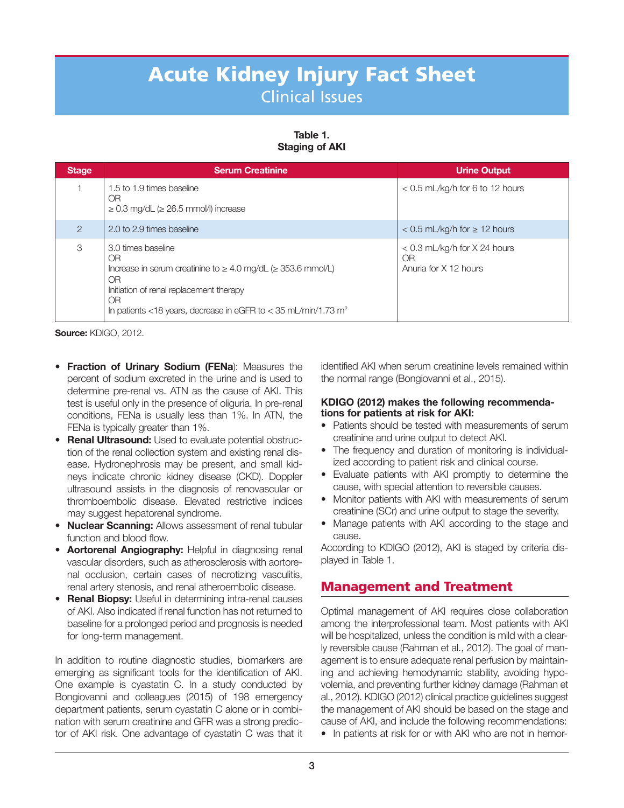**Table 1. Staging of AKI** 

| <b>Stage</b>  | <b>Serum Creatinine</b>                                                                                                                                                                                                                                | <b>Urine Output</b>                                           |
|---------------|--------------------------------------------------------------------------------------------------------------------------------------------------------------------------------------------------------------------------------------------------------|---------------------------------------------------------------|
|               | 1.5 to 1.9 times baseline<br>OR<br>$\geq$ 0.3 mg/dL ( $\geq$ 26.5 mmol/l) increase                                                                                                                                                                     | $<$ 0.5 mL/kg/h for 6 to 12 hours                             |
| $\mathcal{P}$ | 2.0 to 2.9 times baseline                                                                                                                                                                                                                              | $<$ 0.5 mL/kg/h for $\geq$ 12 hours                           |
| 3             | 3.0 times baseline<br>OR<br>Increase in serum creatinine to $\geq 4.0$ mg/dL ( $\geq 353.6$ mmol/L)<br><b>OR</b><br>Initiation of renal replacement therapy<br><b>OR</b><br>In patients <18 years, decrease in eGFR to < 35 mL/min/1.73 m <sup>2</sup> | $<$ 0.3 mL/kg/h for X 24 hours<br>0R<br>Anuria for X 12 hours |

**Source:** KDIGO, 2012.

- • **Fraction of Urinary Sodium (FENa**): Measures the percent of sodium excreted in the urine and is used to determine pre-renal vs. ATN as the cause of AKI. This test is useful only in the presence of oliguria. In pre-renal conditions, FENa is usually less than 1%. In ATN, the FENa is typically greater than 1%.
- • **Renal Ultrasound:** Used to evaluate potential obstruction of the renal collection system and existing renal disease. Hydronephrosis may be present, and small kidneys indicate chronic kidney disease (CKD). Doppler ultrasound assists in the diagnosis of renovascular or thromboembolic disease. Elevated restrictive indices may suggest hepatorenal syndrome.
- **Nuclear Scanning:** Allows assessment of renal tubular function and blood flow.
- • **Aortorenal Angiography:** Helpful in diagnosing renal vascular disorders, such as atherosclerosis with aortorenal occlusion, certain cases of necrotizing vasculitis, renal artery stenosis, and renal atheroembolic disease.
- • **Renal Biopsy:** Useful in determining intra-renal causes of AKI. Also indicated if renal function has not returned to baseline for a prolonged period and prognosis is needed for long-term management.

In addition to routine diagnostic studies, biomarkers are emerging as significant tools for the identification of AKI. One example is cyastatin C. In a study conducted by Bongiovanni and colleagues (2015) of 198 emergency department patients, serum cyastatin C alone or in combination with serum creatinine and GFR was a strong predictor of AKI risk. One advantage of cyastatin C was that it

identified AKI when serum creatinine levels remained within the normal range (Bongiovanni et al., 2015).

#### **KDIGO (2012) makes the following recommendations for patients at risk for AKI:**

- Patients should be tested with measurements of serum creatinine and urine output to detect AKI.
- The frequency and duration of monitoring is individualized according to patient risk and clinical course.
- Evaluate patients with AKI promptly to determine the cause, with special attention to reversible causes.
- Monitor patients with AKI with measurements of serum creatinine (SCr) and urine output to stage the severity.
- Manage patients with AKI according to the stage and cause.

According to KDIGO (2012), AKI is staged by criteria displayed in Table 1.

## **Management and Treatment**

Optimal management of AKI requires close collaboration among the interprofessional team. Most patients with AKI will be hospitalized, unless the condition is mild with a clearly reversible cause (Rahman et al., 2012). The goal of management is to ensure adequate renal perfusion by maintaining and achieving hemodynamic stability, avoiding hypovolemia, and preventing further kidney damage (Rahman et al., 2012). KDIGO (2012) clinical practice guidelines suggest the management of AKI should be based on the stage and cause of AKI, and include the following recommendations: • In patients at risk for or with AKI who are not in hemor-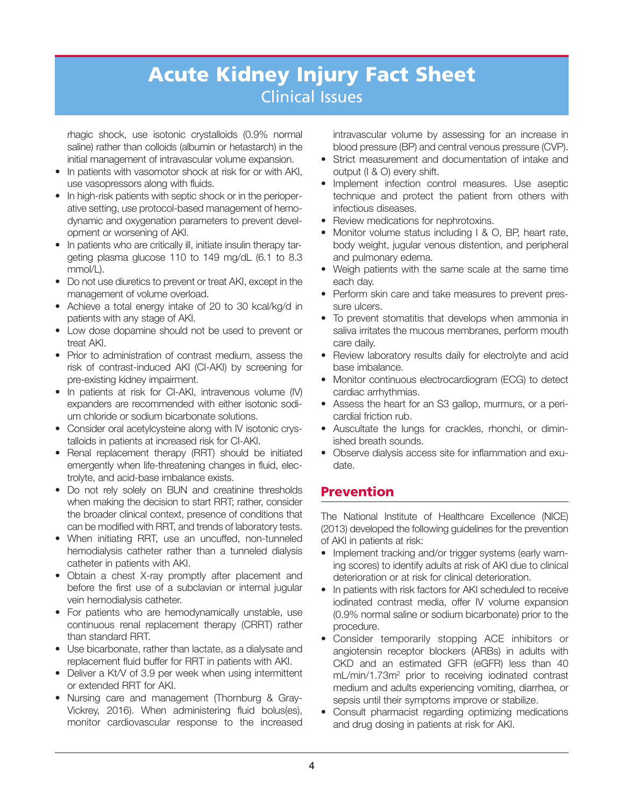rhagic shock, use isotonic crystalloids (0.9% normal saline) rather than colloids (albumin or hetastarch) in the initial management of intravascular volume expansion.

- In patients with vasomotor shock at risk for or with AKI, use vasopressors along with fluids.
- In high-risk patients with septic shock or in the perioperative setting, use protocol-based management of hemodynamic and oxygenation parameters to prevent development or worsening of AKI.
- In patients who are critically ill, initiate insulin therapy targeting plasma glucose 110 to 149 mg/dL (6.1 to 8.3 mmol/L).
- Do not use diuretics to prevent or treat AKI, except in the management of volume overload.
- Achieve a total energy intake of 20 to 30 kcal/kg/d in patients with any stage of AKI.
- Low dose dopamine should not be used to prevent or treat AKI.
- Prior to administration of contrast medium, assess the risk of contrast-induced AKI (CI-AKI) by screening for pre-existing kidney impairment.
- In patients at risk for CI-AKI, intravenous volume (IV) expanders are recommended with either isotonic sodium chloride or sodium bicarbonate solutions.
- Consider oral acetylcysteine along with IV isotonic crystalloids in patients at increased risk for CI-AKI.
- Renal replacement therapy (RRT) should be initiated emergently when life-threatening changes in fluid, electrolyte, and acid-base imbalance exists.
- Do not rely solely on BUN and creatinine thresholds when making the decision to start RRT; rather, consider the broader clinical context, presence of conditions that can be modified with RRT, and trends of laboratory tests.
- When initiating RRT, use an uncuffed, non-tunneled hemodialysis catheter rather than a tunneled dialysis catheter in patients with AKI.
- Obtain a chest X-ray promptly after placement and before the first use of a subclavian or internal jugular vein hemodialysis catheter.
- For patients who are hemodynamically unstable, use continuous renal replacement therapy (CRRT) rather than standard RRT.
- Use bicarbonate, rather than lactate, as a dialysate and replacement fluid buffer for RRT in patients with AKI.
- Deliver a Kt/V of 3.9 per week when using intermittent or extended RRT for AKI.
- Nursing care and management (Thornburg & Gray-Vickrey, 2016). When administering fluid bolus(es), monitor cardiovascular response to the increased

intravascular volume by assessing for an increase in blood pressure (BP) and central venous pressure (CVP).

- Strict measurement and documentation of intake and output (I & O) every shift.
- Implement infection control measures. Use aseptic technique and protect the patient from others with infectious diseases.
- Review medications for nephrotoxins.
- Monitor volume status including I & O, BP, heart rate, body weight, jugular venous distention, and peripheral and pulmonary edema.
- Weigh patients with the same scale at the same time each day.
- Perform skin care and take measures to prevent pressure ulcers.
- To prevent stomatitis that develops when ammonia in saliva irritates the mucous membranes, perform mouth care daily.
- Review laboratory results daily for electrolyte and acid base imbalance.
- Monitor continuous electrocardiogram (ECG) to detect cardiac arrhythmias.
- Assess the heart for an S3 gallop, murmurs, or a pericardial friction rub.
- Auscultate the lungs for crackles, rhonchi, or diminished breath sounds.
- Observe dialysis access site for inflammation and exudate.

## **Prevention**

The National Institute of Healthcare Excellence (NICE) (2013) developed the following guidelines for the prevention of AKI in patients at risk:

- Implement tracking and/or trigger systems (early warning scores) to identify adults at risk of AKI due to clinical deterioration or at risk for clinical deterioration.
- In patients with risk factors for AKI scheduled to receive iodinated contrast media, offer IV volume expansion (0.9% normal saline or sodium bicarbonate) prior to the procedure.
- Consider temporarily stopping ACE inhibitors or angiotensin receptor blockers (ARBs) in adults with CKD and an estimated GFR (eGFR) less than 40 mL/min/1.73m2 prior to receiving iodinated contrast medium and adults experiencing vomiting, diarrhea, or sepsis until their symptoms improve or stabilize.
- Consult pharmacist regarding optimizing medications and drug dosing in patients at risk for AKI.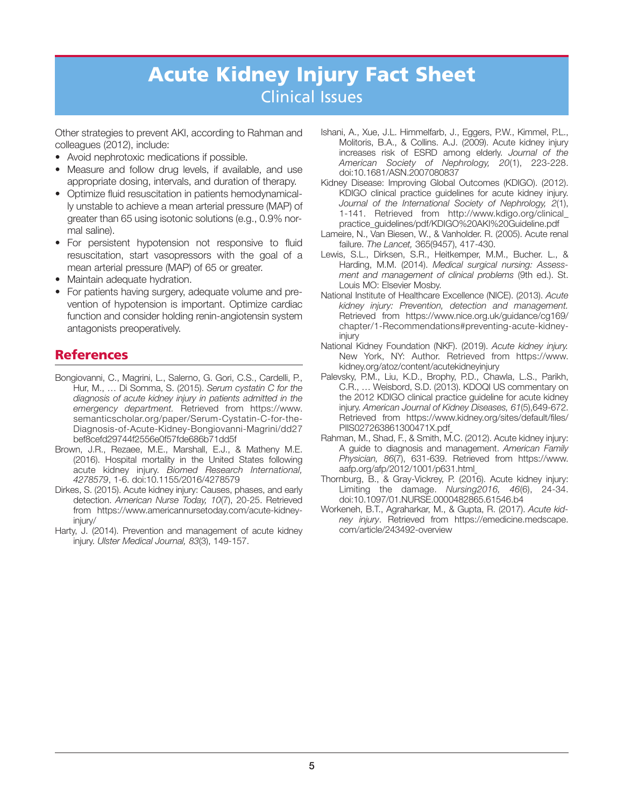Other strategies to prevent AKI, according to Rahman and colleagues (2012), include:

- Avoid nephrotoxic medications if possible.
- Measure and follow drug levels, if available, and use appropriate dosing, intervals, and duration of therapy.
- Optimize fluid resuscitation in patients hemodynamically unstable to achieve a mean arterial pressure (MAP) of greater than 65 using isotonic solutions (e.g., 0.9% normal saline).
- For persistent hypotension not responsive to fluid resuscitation, start vasopressors with the goal of a mean arterial pressure (MAP) of 65 or greater.
- Maintain adequate hydration.
- For patients having surgery, adequate volume and prevention of hypotension is important. Optimize cardiac function and consider holding renin-angiotensin system antagonists preoperatively.

## **References**

- Bongiovanni, C., Magrini, L., Salerno, G. Gori, C.S., Cardelli, P., Hur, M., … Di Somma, S. (2015). *Serum cystatin C for the diagnosis of acute kidney injury in patients admitted in the emergency department.* Retrieved from https://www. semanticscholar.org/paper/Serum-Cystatin-C-for-the-Diagnosis-of-Acute-Kidney-Bongiovanni-Magrini/dd27 bef8cefd297 44f2556e0f57fde686b71dd5f
- Brown, J.R., Rezaee, M.E., Marshall, E.J., & Matheny M.E. (2016). Hospital mortality in the United States following acute kidney injury. *Biomed Research International, 4278579*, 1-6. doi:10.1155/2016/4278579
- Dirkes, S. (2015). Acute kidney injury: Causes, phases, and early detection. *American Nurse Today, 10*(7), 20-25. Retrieved from https://www.americannursetoday.com/acute-kidneyinjury/
- Harty, J. (2014). Prevention and management of acute kidney injury. *Ulster Medical Journal, 83*(3), 149-157.
- Ishani, A., Xue, J.L. Himmelfarb, J., Eggers, P.W., Kimmel, P.L., Molitoris, B.A., & Collins. A.J. (2009). Acute kidney injury increases risk of ESRD among elderly. *Journal of the American Society of Nephrology, 20*(1), 223-228. doi:10.1681/ASN.2007080837
- Kidney Disease: Improving Global Outcomes (KDIGO). (2012). KDIGO clinical practice guidelines for acute kidney injury. *Journal of the International Society of Nephrology, 2*(1), 1-141. Retrieved from http://www.kdigo.org/clinical\_ practice\_guidelines/pdf/KDIGO%20AKI%20Guideline.pdf
- Lameire, N., Van Biesen, W., & Vanholder. R. (2005). Acute renal failure. *The Lancet,* 365(9457), 417-430.
- Lewis, S.L., Dirksen, S.R., Heitkemper, M.M., Bucher. L., & Harding, M.M. (2014). *Medical surgical nursing: Assess ment and management of clinical problems* (9th ed.). St. Louis MO: Elsevier Mosby.
- National Institute of Healthcare Excellence (NICE). (2013). *Acute kidney injury: Prevention, detection and management.* Retrieved from https://www.nice.org.uk/guidance/cg169/ chapter/1-Recommendations#preventing-acute-kidneyinjury
- National Kidney Foundation (NKF). (2019). *Acute kidney injury.*  New York, NY: Author. Retrieved from https://www. kidney.org/atoz/content/acutekidneyinjury
- Palevsky, P.M., Liu, K.D., Brophy, P.D., Chawla, L.S., Parikh, C.R., … Weisbord, S.D. (2013). KDOQI US commentary on the 2012 KDIGO clinical practice guideline for acute kidney injury. *American Journal of Kidney Diseases, 61*(5),649-672. Retrieved from https://www.kidney.org/sites/default/files/ PIIS027263861300471X.pdf
- Rahman, M., Shad, F., & Smith, M.C. (2012). Acute kidney injury: A guide to diagnosis and management. *American Family Physician, 86*(7), 631-639. Retrieved from https://www. aafp.org/afp/2012/1001/p631.html
- Thornburg, B., & Gray-Vickrey, P. (2016). Acute kidney injury: Limiting the damage. *Nursing2016, 46*(6), 24-34. doi:10.1097/01.NURSE.0000482865.61546.b4
- Workeneh, B.T., Agraharkar, M., & Gupta, R. (2017). *Acute kidney injury*. Retrieved from https://emedicine.medscape. com/article/243492-overview